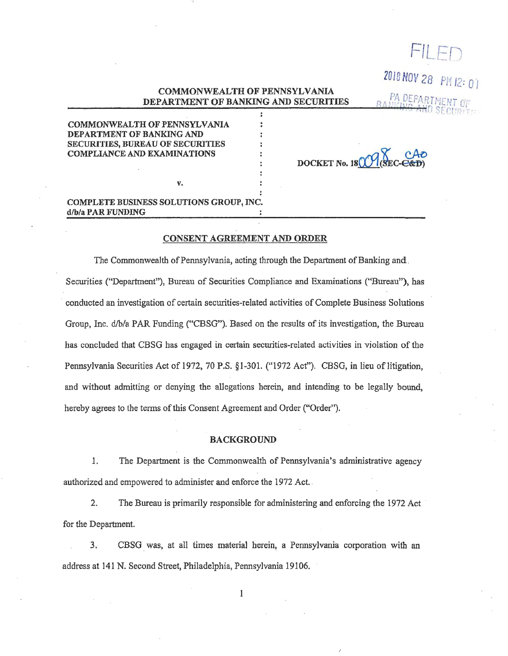# COMMONWEALTH OF PENNSYLVANIA DEPARTMENT OF BANKING AND SECURITIES

COMMONWEALTH OF PENNSYLVANIA DEPARTMENT OF BANKING AND SECURITIES, BUREAU OF SECURITIES COMPLIANCE AND EXAMINATIONS

DOCKET No.  $180$ 

·FILE *\_j* 

2018 NOV *28* P/i / 2: *0* I

PA DEPARTMENT

## COMPLETE BUSINESS SOLUTIONS GROUP, INC. d/b/a PAR FUNDING

v.

#### CONSENT AGREEMENT AND ORDER

The Commonwealth of Pennsylvania, acting through the Department of Banking and . Securities ("Department"), Bureau of Securities Compliance and Examinations (''Bureau"), has · conducted an investigation of certain securities-related activities of Complete Business Solutions Group, Inc. d/b/a PAR Funding ("CBSG"). Based on the results of its investigation, the Bureau has concluded that CBSG has engaged in certain securities-related activities in violation of the Pennsylvania Securities Act of 1972, 70 P.S. § 1-301. ("1972 Act"). CBSG, in lieu of litigation, and without admitting or denying the allegations herein, and intending to be legally bound, hereby agrees to the terms of this Consent Agreement and Order ("Order").

### BACKGROUND

1. The Department is the Commonwealth of Pennsylvania's administrative agency authorized and empowered to administer and enforce the 1972 Act. .

2. The Bureau is primarily responsible for administering and enforcing the 1972 Act for the Department.

3. CBSG was, at all times material herein, a Pennsylvania corporation with an address at 141 N. Second Street, Philadelphia, Pennsylvania 19106.

 $\mathbf{1}$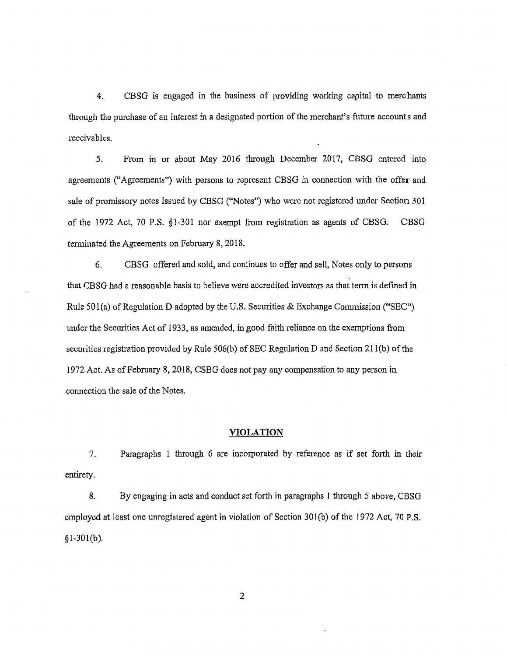4. CBSG is engaged in the business of providing working capital to merchants through the purchase of an interest in a designated portion of the merchant's future accounts and receivables.

5. From in or about May 2016 through December 2017, CBSG entered into agreements ("Agreements") with persons to represent CBSG in connection with the offer and sale of promissory notes issued by CBSG ("Notes") who were not registered under Section 301 of the 1972 Act, 70 P.S. §1-301 nor exempt from registration as agents of CBSG. CBSG terminated the Agreements on February 8, 2018.

6. CBSG offered and sold, and continues to offer and sell, Notes only to persons that CBSG had a reasonable basis to believe were accredited investors as that term is defined in Rule 50l(a) of Regulation D adopted by the U.S. Securities & Exchange Commission ("SEC") under the Securities Act of 1933, as amended, in good faith reliance on the exemptions from securities registration provided by Rule 506(b) of SEC Regulation D and Section 211(b) of the 1972 Act. As of February 8, 2018, CSBG does not pay any compensation to any person in connection the sale of the Notes.

### **VIOLATION**

7. Paragraphs 1 through 6 are incorporated by reference as if set forth in their entirety.

8. By engaging in acts and conduct set forth in paragraphs I through 5 above, CBSG employed at least one unregistered agent in violation of Section 30l(b) of the 1972 Act, 70 P.S.  $§$ <sub>1</sub>-301(b).

2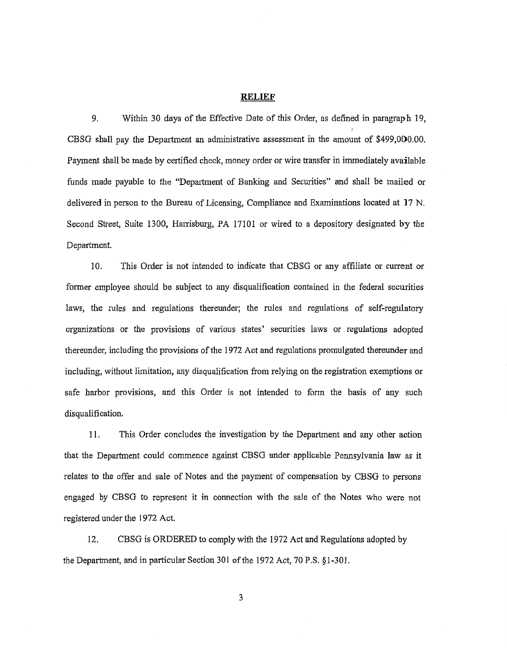#### **RELIEF**

9. Within 30 days of the Effective Date of this Order, as defined in paragraph 19, CBSG shall pay the Department an administrative assessment in the amount of \$499,000.00. Payment shall be made by certified check, money order or wire transfer in immediately available funds made payable to the "Department of Banking and Securities" and shall be mailed or delivered in person to the Bureau of Licensing, Compliance and Examinations located at 17 N. Second Street, Suite 1300, Harrisburg, PA 17101 or wired to a depository designated by the Department.

10. Thls Order is not intended to indicate that CBSG or any affiliate or current or former employee should be subject to any disqualification contained in the federal securities laws, the rules and regulations thereunder; the rules and regulations of self-regulatory organizations or the provisions of various states' securities laws or regulations adopted thereunder, including the provisions of the 1972 Act and regulations promulgated thereunder and including, without limitation, any disqualification from relying on the registration exemptions or safe harbor provisions, and this Order is not intended to form the basis of any such disqualification.

11. This Order concludes the investigation by the Department and any other action that the Department could commence against CBSG under applicable Pennsylvania law as it relates to the offer and sale of Notes and the payment of compensation by CBSG to persons engaged by CBSG to represent it in connection with the sale of the Notes who were not registered under the 1972 Act.

12. CBSG is ORDERED to comply with the 1972 Act and Regulations adopted by the Department, and in particular Section 301 of the 1972 Act, 70 P.S. §1-301.

3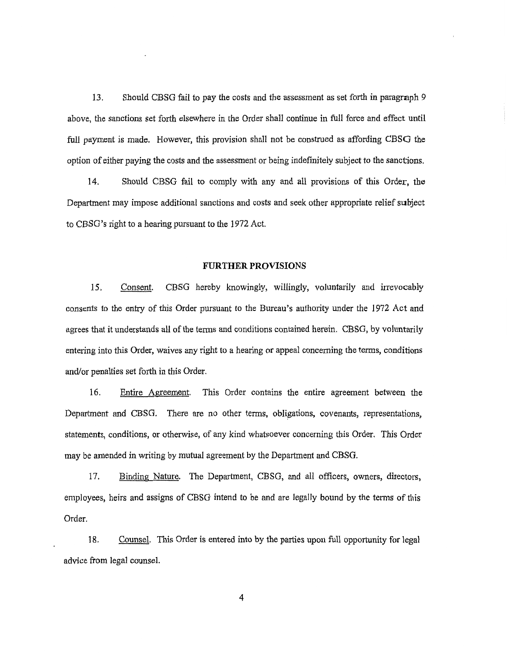13. Should CBSG fail to pay the costs and the assessment as set forth in paragraph 9 above, the sanctions set forth elsewhere in the Order shall continue in full force and effect until full payment is made. However, this provision shall not be construed as affording CBSG the option of either paying the costs and the assessment or being indefinitely subject to the sanctions.

14. Should CBSG fail to comply with any and all provisions of this Order, the Department may impose additional sanctions and costs and seek other appropriate relief subject to CBSG's right to a hearing pursuant to the 1972 Act.

### **FURTHER PROVISIONS**

15. Consent. CBSG hereby knowingly, willingly, voluntarily and irrevocably consents to the entry of this Order pursuant to the Bureau's authority under the 1972 Act and agrees that it understands all of the terms and conditions contained herein. CBSG, by voluntarily entering into this Order, waives any right to a hearing or appeal concerning the terms, conditions and/or penalties set forth in this Order.

16. Entire Agreement. This Order contains the entire agreement between the Department and CBSG. There are no other terms, obligations, covenants, representations, statements, conditions, or otherwise, of any kind whatsoever concerning this Order, This Order may be amended in writing by mutual agreement by the Department and CBSG.

17. Binding Nature. The Department, CBSG, and all officers, owners, directors, employees, heirs and assigns of CBSG intend to be and are legally bound by the tenns of this Order.

18. Counsel. This Order is entered into by the parties upon full opportunity for legal advice from legal counsel.

4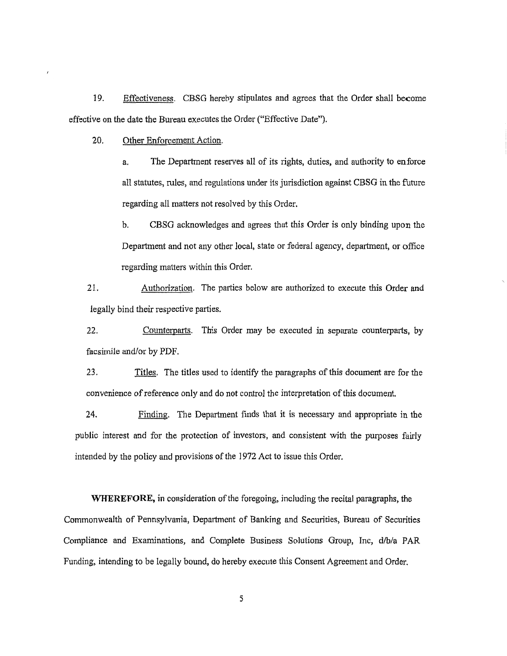19. Effectiveness. CBSG hereby stipulates and agrees that the Order shall become effective on the date the Bureau executes the Order ("Effective Date").

20. Other Enforcement Action.

a. The Department reserves all of its rights, duties, and authority to enforce all statutes, rules, and regulations under its jurisdiction against CBSG in the future regarding all matters not resolved by this Order.

b. CBSG acknowledges and agrees that this Order is only binding upon the Department and not any other local, state or federal agency, department, or office regarding matters within this Order.

21. Authorization. The parties below are authorized to execute this Order and legally bind their respective parties.

22. Counterparts. This Order may be executed in separate counterparts, by facsimile and/or by PDF.

23. Titles. The titles used to identify the paragraphs of this document are for the convenience of reference only and do not control the interpretation of this document.

24. Finding. The Department finds that it is necessary and appropriate in the public interest and for the protection of investors, and consistent with the purposes fairly intended by the policy and provisions of the 1972 Act to issue this Order.

**WHEREFORE,** in consideration of the foregoing, including the recital paragraphs, the Commonwealth of Pennsylvania, Department of Banking and Securities, Bureau of Securities Compliance and Examinations, and Complete Business Solutions Group, Inc, d/b/a PAR Funding, intending to be legally bound, do hereby execute this Consent Agreement and Order.